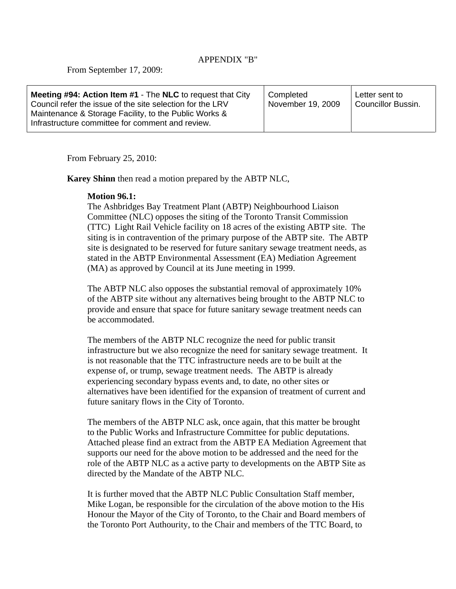## APPENDIX "B"

From September 17, 2009:

From February 25, 2010:

**Karey Shinn** then read a motion prepared by the ABTP NLC,

## **Motion 96.1:**

The Ashbridges Bay Treatment Plant (ABTP) Neighbourhood Liaison Committee (NLC) opposes the siting of the Toronto Transit Commission (TTC) Light Rail Vehicle facility on 18 acres of the existing ABTP site. The siting is in contravention of the primary purpose of the ABTP site. The ABTP site is designated to be reserved for future sanitary sewage treatment needs, as stated in the ABTP Environmental Assessment (EA) Mediation Agreement (MA) as approved by Council at its June meeting in 1999.

The ABTP NLC also opposes the substantial removal of approximately 10% of the ABTP site without any alternatives being brought to the ABTP NLC to provide and ensure that space for future sanitary sewage treatment needs can be accommodated.

The members of the ABTP NLC recognize the need for public transit infrastructure but we also recognize the need for sanitary sewage treatment. It is not reasonable that the TTC infrastructure needs are to be built at the expense of, or trump, sewage treatment needs. The ABTP is already experiencing secondary bypass events and, to date, no other sites or alternatives have been identified for the expansion of treatment of current and future sanitary flows in the City of Toronto.

The members of the ABTP NLC ask, once again, that this matter be brought to the Public Works and Infrastructure Committee for public deputations. Attached please find an extract from the ABTP EA Mediation Agreement that supports our need for the above motion to be addressed and the need for the role of the ABTP NLC as a active party to developments on the ABTP Site as directed by the Mandate of the ABTP NLC.

It is further moved that the ABTP NLC Public Consultation Staff member, Mike Logan, be responsible for the circulation of the above motion to the His Honour the Mayor of the City of Toronto, to the Chair and Board members of the Toronto Port Authourity, to the Chair and members of the TTC Board, to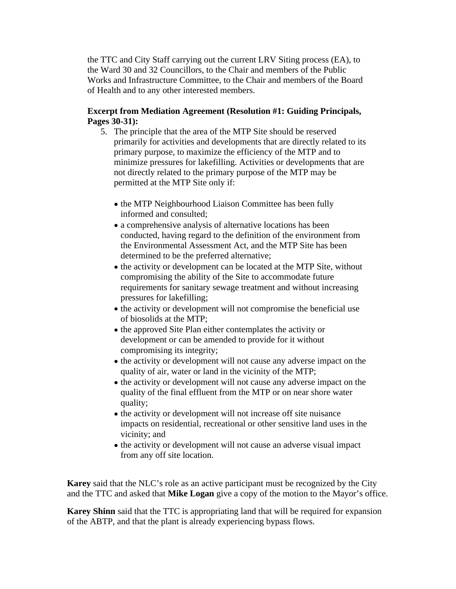the TTC and City Staff carrying out the current LRV Siting process (EA), to the Ward 30 and 32 Councillors, to the Chair and members of the Public Works and Infrastructure Committee, to the Chair and members of the Board of Health and to any other interested members.

## **Excerpt from Mediation Agreement (Resolution #1: Guiding Principals, Pages 30-31):**

- 5. The principle that the area of the MTP Site should be reserved primarily for activities and developments that are directly related to its primary purpose, to maximize the efficiency of the MTP and to minimize pressures for lakefilling. Activities or developments that are not directly related to the primary purpose of the MTP may be permitted at the MTP Site only if:
	- the MTP Neighbourhood Liaison Committee has been fully informed and consulted;
	- a comprehensive analysis of alternative locations has been conducted, having regard to the definition of the environment from the Environmental Assessment Act, and the MTP Site has been determined to be the preferred alternative;
	- the activity or development can be located at the MTP Site, without compromising the ability of the Site to accommodate future requirements for sanitary sewage treatment and without increasing pressures for lakefilling;
	- the activity or development will not compromise the beneficial use of biosolids at the MTP;
	- the approved Site Plan either contemplates the activity or development or can be amended to provide for it without compromising its integrity;
	- the activity or development will not cause any adverse impact on the quality of air, water or land in the vicinity of the MTP;
	- the activity or development will not cause any adverse impact on the quality of the final effluent from the MTP or on near shore water quality;
	- the activity or development will not increase off site nuisance impacts on residential, recreational or other sensitive land uses in the vicinity; and
	- the activity or development will not cause an adverse visual impact from any off site location.

**Karey** said that the NLC's role as an active participant must be recognized by the City and the TTC and asked that **Mike Logan** give a copy of the motion to the Mayor's office.

**Karey Shinn** said that the TTC is appropriating land that will be required for expansion of the ABTP, and that the plant is already experiencing bypass flows.